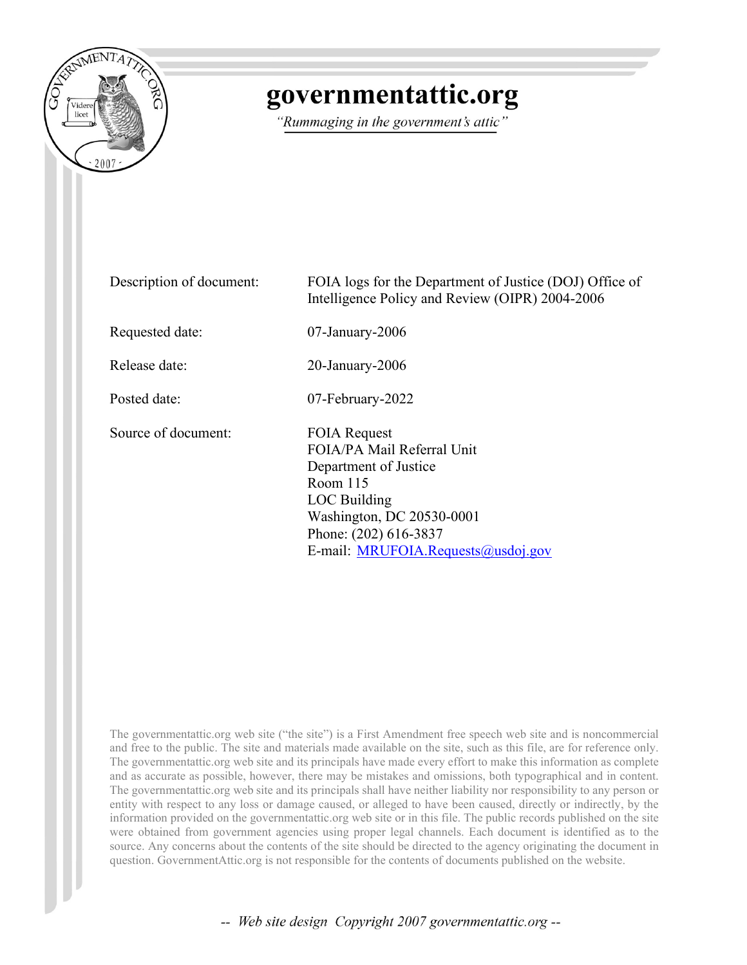

## governmentattic.org

"Rummaging in the government's attic"

| Description of document: | FOIA logs for the Department of Justice (DOJ) Office of<br>Intelligence Policy and Review (OIPR) 2004-2006                                                                                           |
|--------------------------|------------------------------------------------------------------------------------------------------------------------------------------------------------------------------------------------------|
| Requested date:          | $07$ -January-2006                                                                                                                                                                                   |
| Release date:            | $20$ -January- $2006$                                                                                                                                                                                |
| Posted date:             | 07-February-2022                                                                                                                                                                                     |
| Source of document:      | <b>FOIA Request</b><br>FOIA/PA Mail Referral Unit<br>Department of Justice<br>Room $115$<br>LOC Building<br>Washington, DC 20530-0001<br>Phone: (202) 616-3837<br>E-mail: MRUFOIA.Requests@usdoj.gov |

The governmentattic.org web site ("the site") is a First Amendment free speech web site and is noncommercial and free to the public. The site and materials made available on the site, such as this file, are for reference only. The governmentattic.org web site and its principals have made every effort to make this information as complete and as accurate as possible, however, there may be mistakes and omissions, both typographical and in content. The governmentattic.org web site and its principals shall have neither liability nor responsibility to any person or entity with respect to any loss or damage caused, or alleged to have been caused, directly or indirectly, by the information provided on the governmentattic.org web site or in this file. The public records published on the site were obtained from government agencies using proper legal channels. Each document is identified as to the source. Any concerns about the contents of the site should be directed to the agency originating the document in question. GovernmentAttic.org is not responsible for the contents of documents published on the website.

-- Web site design Copyright 2007 governmentattic.org --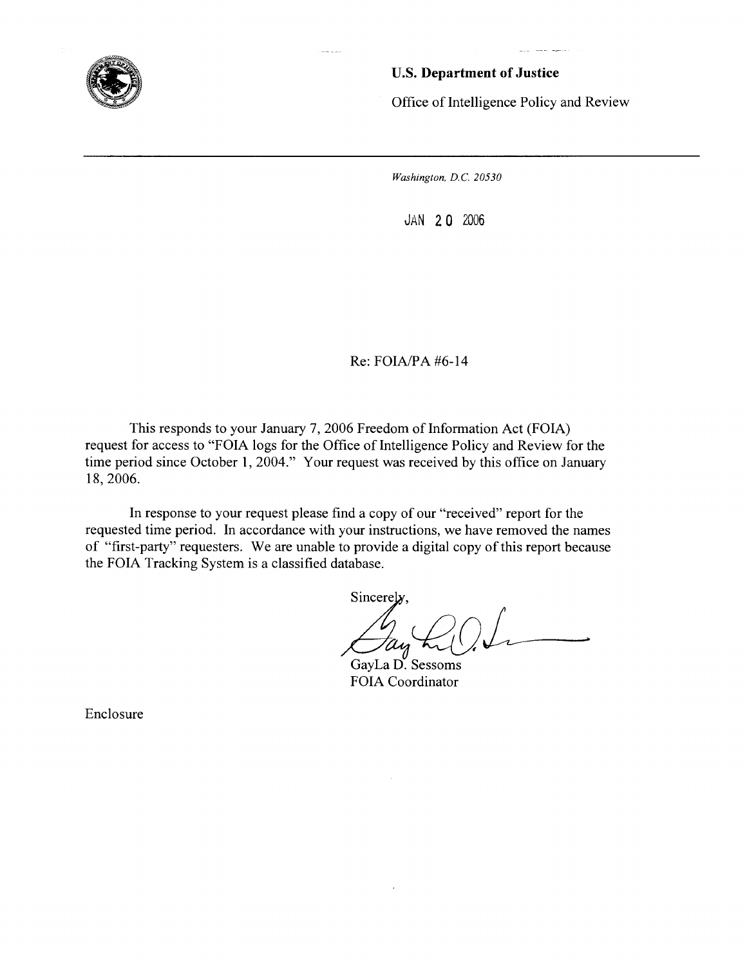

**U.S. Department of Justice** 

Office of Intelligence Policy and Review

*Washington, D.C. 20530* 

JAN 2 0 2006

## Re: FOIA/PA #6-14

This responds to your January 7, 2006 Freedom of Information Act (FOIA) request for access to "FOIA logs for the Office of Intelligence Policy and Review for the time period since October 1, 2004." Your request was received by this office on January 18, 2006.

In response to your request please find a copy of our "received" report for the requested time period. In accordance with your instructions, we have removed the names of "first-party" requesters. We are unable to provide a digital copy of this report because the FOIA Tracking System is a classified database.

Sincerely,

GayLa D. Sessoms FOIA Coordinator

Enclosure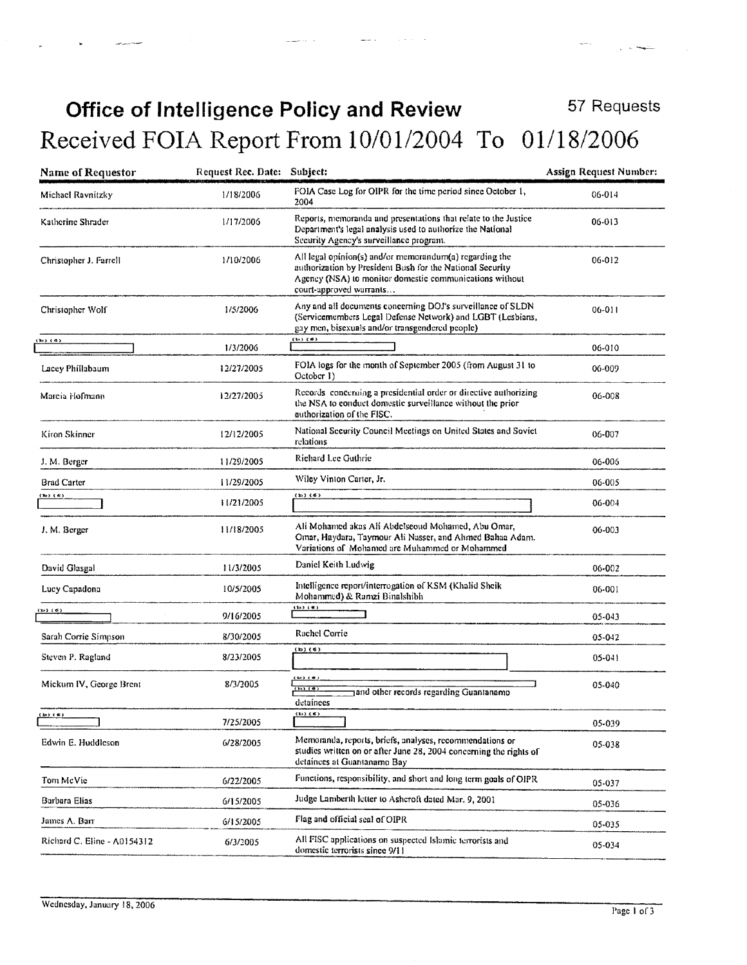## **Office of Intelligence Policy and Review** Received FOIA Report From 10/01/2004 To 01/18/2006

| Name of Requestor           | Request Rec. Date: | Subject:                                                                                                                                                                                                   | Assign Request Number: |
|-----------------------------|--------------------|------------------------------------------------------------------------------------------------------------------------------------------------------------------------------------------------------------|------------------------|
| Michael Ravnitzky           | 1/18/2006          | FOIA Case Log for OIPR for the time period since October 1,<br>2004                                                                                                                                        | 06-014                 |
| Katherine Shrader           | 1/17/2006          | Reports, memoranda and presentations that relate to the Justice<br>Department's legal analysis used to authorize the National<br>Security Agency's surveillance program.                                   | 06-013                 |
| Christopher J. Farrell      | 1/10/2006          | All legal opinion(s) and/or memorandum(a) regarding the<br>authorization by President Bush for the National Security<br>Agency (NSA) to monitor domestic communications without<br>court-approved warrants | 06-012                 |
| Christopher Wolf            | 1/5/2006           | Any and all documents concerning DOJ's surveillance of SLDN<br>(Servicemembers Legal Defense Network) and LGBT (Lesbians,<br>gay men, bisexuals and/or transgendered people)                               | $06 - 011$             |
| (که) (ط)                    | 1/3/2006           | $(b)$ $(b)$                                                                                                                                                                                                | 06-010                 |
| Lacey Phillabaum            | 12/27/2005         | FOIA logs for the month of September 2005 (from August 31 to<br>October 1)                                                                                                                                 | 06-009                 |
| Marcia Hofmann              | 12/27/2005         | Records concerning a presidential order or directive authorizing<br>the NSA to conduct domestic surveillance without the prior<br>authorization of the FISC.                                               | 06-008                 |
| Kiron Skinner               | 12/12/2005         | National Security Council Meetings on United States and Soviet<br>relations                                                                                                                                | 06-007                 |
| J. M. Berger                | 11/29/2005         | Richard Lee Guthrie                                                                                                                                                                                        | 06-006                 |
| <b>Brad Carter</b>          | 11/29/2005         | Wiley Vinton Carter, Jr.                                                                                                                                                                                   | 06-005                 |
| $(b)$ $(b)$                 | 11/21/2005         | $(b)$ $(b)$                                                                                                                                                                                                | 06-004                 |
| J. M. Berger                | 11/18/2005         | Ali Mohamed akas Ali Abdelseoud Mohamed, Abu Omar,<br>Omar, Haydara, Taymour Ali Nasser, and Ahmed Bahaa Adam.<br>Variations of Mohamed are Muhammed or Mohammed                                           | 06-003                 |
| David Glasgal               | 11/3/2005          | Daniel Keith Ludwig                                                                                                                                                                                        | 06-002                 |
| Lucy Capadona               | 10/5/2005          | Intelligence report/interrogation of KSM (Khalid Sheik<br>Mohammed) & Ramzi Binalshibh                                                                                                                     | 06-001                 |
| $(D)$ $(6)$                 | 9/16/2005          | $\overline{\mathbf{B}}$                                                                                                                                                                                    | 05-043                 |
| Sarah Corrie Simpson        | 8/30/2005          | Rachel Corrie                                                                                                                                                                                              | 05-042                 |
| Steven P. Ragland           | 8/23/2005          | $(b)$ (6)                                                                                                                                                                                                  | 05-041                 |
| Mickum IV, George Brent     | 8/3/2005           | $(x_0, y_1, x_0)$<br>$(b)$ (d)<br>and other records regarding Guantanamo<br>detainces                                                                                                                      | 05-040                 |
| $(b)$ (6)                   | 7/25/2005          | $(b)$ $(b)$                                                                                                                                                                                                | 05-039                 |
| Edwin E. Huddleson          | 6/28/2005          | Memoranda, reports, briefs, analyses, recommendations or<br>studies written on or after June 28, 2004 concerning the rights of<br>detainees at Guantanamo Bay                                              | 05-038                 |
| Tom McVie                   | 6/22/2005          | Functions, responsibility, and short and long term goals of OIPR                                                                                                                                           | 05-037                 |
| Barbara Elias               | 6/15/2005          | Judge Lamberth letter to Ashcroft dated Mar. 9, 2001                                                                                                                                                       | 05-036                 |
| James A. Barr               | 6/15/2005          | Flag and official seal of OIPR                                                                                                                                                                             | 05-035                 |
| Richard C. Eline - A0154312 | 6/3/2005           | All FISC applications on suspected Islamic terrorists and<br>domestic terrorists since 9/11                                                                                                                | 05-034                 |

57 Requests

 $\Delta \sim 10^{-1}$  km  $^{-1}$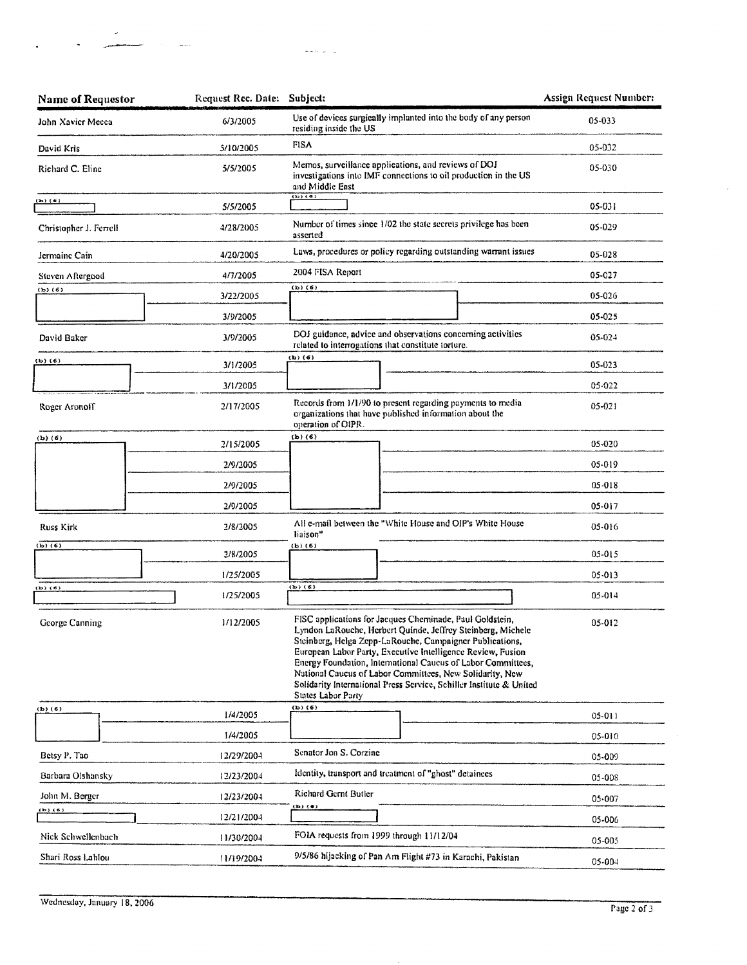| Name of Requestor      | Request Rec. Date: Subject: |                                                                                                                                                                                                                                                                                                                                                                                                                                                                             | <b>Assign Request Number:</b> |
|------------------------|-----------------------------|-----------------------------------------------------------------------------------------------------------------------------------------------------------------------------------------------------------------------------------------------------------------------------------------------------------------------------------------------------------------------------------------------------------------------------------------------------------------------------|-------------------------------|
| John Xavier Mecca      | 6/3/2005                    | Use of devices surgically implanted into the body of any person<br>residing inside the US                                                                                                                                                                                                                                                                                                                                                                                   | 05-033                        |
| David Kris             | 5/10/2005                   | FISA                                                                                                                                                                                                                                                                                                                                                                                                                                                                        | 05-032                        |
| Richard C. Eline       | 5/5/2005                    | Memos, surveillance applications, and reviews of DOJ<br>investigations into IMF connections to oil production in the US<br>and Middle East                                                                                                                                                                                                                                                                                                                                  | 05-030                        |
| $(b)$ $(b)$            | 5/5/2005                    | $(b)$ $(c)$                                                                                                                                                                                                                                                                                                                                                                                                                                                                 | 05-031                        |
| Christopher J. Ferrell | 4/28/2005                   | Number of times since 1/02 the state secrets privilege has been<br>asserted                                                                                                                                                                                                                                                                                                                                                                                                 | 05-029                        |
| Jermaine Cain          | 4/20/2005                   | Laws, procedures or policy regarding outstanding warrant issues                                                                                                                                                                                                                                                                                                                                                                                                             | 05-028                        |
| Steven Aftergood       | 4/7/2005                    | 2004 FISA Report                                                                                                                                                                                                                                                                                                                                                                                                                                                            | 05-027                        |
| $(b)$ $(6)$            | 3/22/2005                   | $(b)$ $(6)$                                                                                                                                                                                                                                                                                                                                                                                                                                                                 | 05-026                        |
|                        | 3/9/2005                    |                                                                                                                                                                                                                                                                                                                                                                                                                                                                             | 05-025                        |
| David Baker            | 3/9/2005                    | DOI guidance, advice and observations concerning activities<br>related to interrogations that constitute torture.                                                                                                                                                                                                                                                                                                                                                           | $05 - 024$                    |
| (b) (6)                | 3/1/2005                    | $(b)$ (6)                                                                                                                                                                                                                                                                                                                                                                                                                                                                   | 05-023                        |
|                        | 3/1/2005                    |                                                                                                                                                                                                                                                                                                                                                                                                                                                                             | 05-022                        |
| Roger Aronoff          | 2/17/2005                   | Records from 1/1/90 to present regarding payments to media<br>organizations that have published information about the<br>operation of OIPR.                                                                                                                                                                                                                                                                                                                                 | 05-021                        |
| $(b)$ $(6)$            | 2/15/2005                   | $(b)$ (6)                                                                                                                                                                                                                                                                                                                                                                                                                                                                   | 05-020                        |
|                        | 2/9/2005                    |                                                                                                                                                                                                                                                                                                                                                                                                                                                                             | 05-019                        |
|                        | 2/9/2005                    |                                                                                                                                                                                                                                                                                                                                                                                                                                                                             | 05-018                        |
|                        | 2/9/2005                    |                                                                                                                                                                                                                                                                                                                                                                                                                                                                             | 05-017                        |
| <b>Russ Kirk</b>       | 2/8/2005                    | All e-mail between the "White House and OIP's White House<br>liaison"                                                                                                                                                                                                                                                                                                                                                                                                       | 05-016                        |
| $(b)$ $(6)$            | 2/8/2005                    | $(b)$ (6)                                                                                                                                                                                                                                                                                                                                                                                                                                                                   | 05-015                        |
|                        | 1/25/2005                   |                                                                                                                                                                                                                                                                                                                                                                                                                                                                             | 05-013                        |
| $(b)$ $(6)$            | 1/25/2005                   | $(b)$ $(6)$                                                                                                                                                                                                                                                                                                                                                                                                                                                                 | 05-014                        |
| George Canning         | 1/12/2005                   | FISC applications for Jacques Cheminade, Paul Goldstein,<br>Lyndon LaRouche, Herbert Quinde, Jeffrey Steinberg, Michele<br>Sieinberg, Helga Zepp-LaRouche, Campaigner Publications,<br>European Labor Party, Executive Intelligence Review, Fusion<br>Energy Foundation, International Caucus of Labor Committees,<br>National Caucus of Labor Committees, New Solidarity, New<br>Solidarity International Press Service, Schiller Institute & United<br>States Labor Party | 05-012                        |
| $(b)$ $(6)$            | 1/4/2005                    | $(b)$ (6)                                                                                                                                                                                                                                                                                                                                                                                                                                                                   | $05-011$                      |
|                        | 1/4/2005                    |                                                                                                                                                                                                                                                                                                                                                                                                                                                                             | 05-010                        |
| Betsy P. Tao           | 12/29/2004                  | Senator Jon S. Corzine                                                                                                                                                                                                                                                                                                                                                                                                                                                      | 05-009                        |
| Barbara Olshansky      | 12/23/2004                  | Identity, transport and treatment of "ghost" detainees                                                                                                                                                                                                                                                                                                                                                                                                                      | 05-008                        |
| John M. Berger         | 12/23/2004                  | Richard Gernt Butler                                                                                                                                                                                                                                                                                                                                                                                                                                                        | 05-007                        |
| $(b)$ (6)              | 12/21/2004                  | (b) $(6)$                                                                                                                                                                                                                                                                                                                                                                                                                                                                   | 05-006                        |
| Nick Schwellenbach     | 11/30/2004                  | FOIA requests from 1999 through 11/12/04                                                                                                                                                                                                                                                                                                                                                                                                                                    | 05-005                        |
| Shari Ross Lahlou      | 11/19/2004                  | 9/5/86 hijacking of Pan Am Flight #73 in Karachi, Pakistan                                                                                                                                                                                                                                                                                                                                                                                                                  | 05-004                        |

 $\omega = \omega_{\rm{max}} \omega_{\rm{max}}$ 

ار<br>جنس

 $\frac{1}{2}$  and  $\frac{1}{2}$ 

 $\sim$   $\sim$ 

 $\ddot{\phantom{a}}$ 

 $\lambda$ 

 $\epsilon$